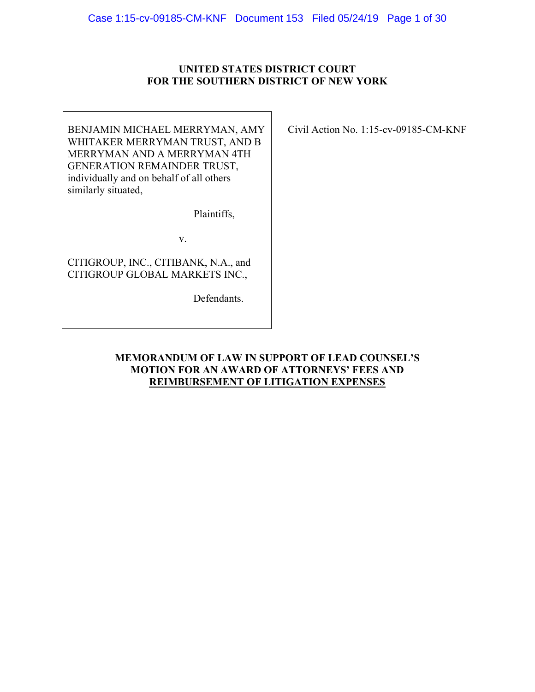## **UNITED STATES DISTRICT COURT FOR THE SOUTHERN DISTRICT OF NEW YORK**

BENJAMIN MICHAEL MERRYMAN, AMY WHITAKER MERRYMAN TRUST, AND B MERRYMAN AND A MERRYMAN 4TH GENERATION REMAINDER TRUST, individually and on behalf of all others similarly situated,

Plaintiffs,

v.

CITIGROUP, INC., CITIBANK, N.A., and CITIGROUP GLOBAL MARKETS INC.,

Defendants.

Civil Action No. 1:15-cv-09185-CM-KNF

**MEMORANDUM OF LAW IN SUPPORT OF LEAD COUNSEL'S MOTION FOR AN AWARD OF ATTORNEYS' FEES AND REIMBURSEMENT OF LITIGATION EXPENSES**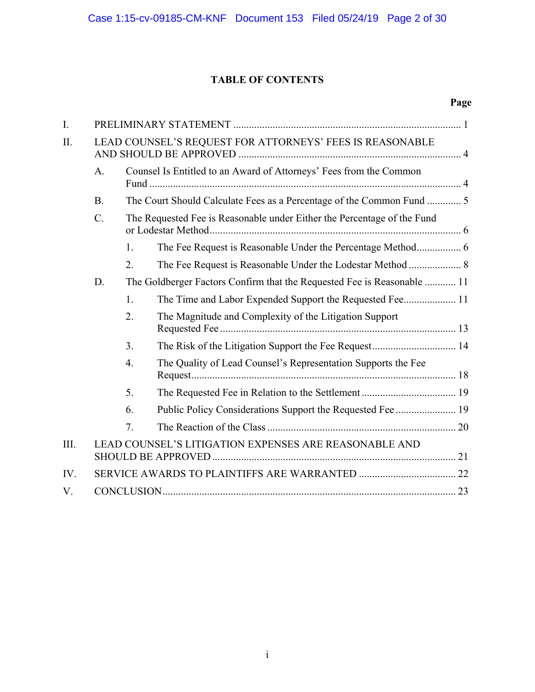# **TABLE OF CONTENTS**

| I.   |                                                          |                                                                         |                                                               |  |  |
|------|----------------------------------------------------------|-------------------------------------------------------------------------|---------------------------------------------------------------|--|--|
| II.  | LEAD COUNSEL'S REQUEST FOR ATTORNEYS' FEES IS REASONABLE |                                                                         |                                                               |  |  |
|      | A.                                                       | Counsel Is Entitled to an Award of Attorneys' Fees from the Common      |                                                               |  |  |
|      | <b>B.</b>                                                | The Court Should Calculate Fees as a Percentage of the Common Fund  5   |                                                               |  |  |
|      | $C$ .                                                    | The Requested Fee is Reasonable under Either the Percentage of the Fund |                                                               |  |  |
|      |                                                          | 1.                                                                      |                                                               |  |  |
|      |                                                          | 2.                                                                      | The Fee Request is Reasonable Under the Lodestar Method  8    |  |  |
|      | D.                                                       | The Goldberger Factors Confirm that the Requested Fee is Reasonable  11 |                                                               |  |  |
|      |                                                          | 1.                                                                      | The Time and Labor Expended Support the Requested Fee 11      |  |  |
|      |                                                          | 2.                                                                      | The Magnitude and Complexity of the Litigation Support        |  |  |
|      |                                                          | 3.                                                                      |                                                               |  |  |
|      |                                                          | $\overline{4}$ .                                                        | The Quality of Lead Counsel's Representation Supports the Fee |  |  |
|      |                                                          | 5.                                                                      |                                                               |  |  |
|      |                                                          | 6.                                                                      | Public Policy Considerations Support the Requested Fee  19    |  |  |
|      |                                                          | 7.                                                                      |                                                               |  |  |
| III. |                                                          |                                                                         | LEAD COUNSEL'S LITIGATION EXPENSES ARE REASONABLE AND         |  |  |
| IV.  |                                                          |                                                                         |                                                               |  |  |
| V.   |                                                          |                                                                         |                                                               |  |  |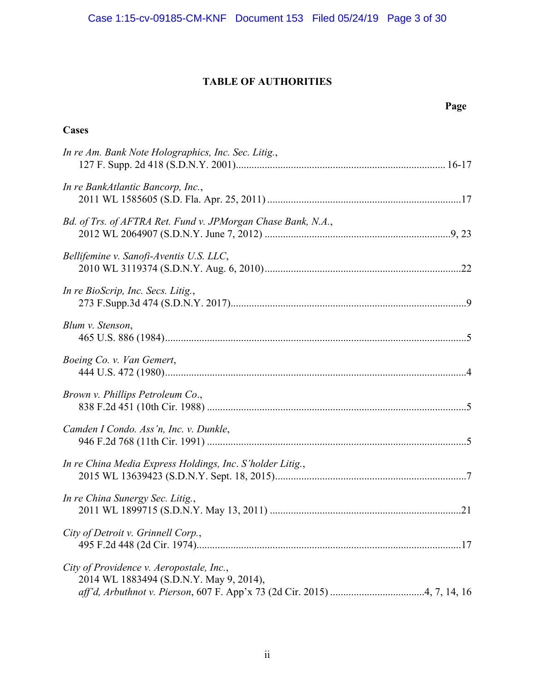# **TABLE OF AUTHORITIES**

**Cases** 

# **Page**

| In re Am. Bank Note Holographics, Inc. Sec. Litig.,                                 |
|-------------------------------------------------------------------------------------|
| In re BankAtlantic Bancorp, Inc.,                                                   |
| Bd. of Trs. of AFTRA Ret. Fund v. JPMorgan Chase Bank, N.A.,                        |
| Bellifemine v. Sanofi-Aventis U.S. LLC,                                             |
| In re BioScrip, Inc. Secs. Litig.,                                                  |
| Blum v. Stenson,                                                                    |
| Boeing Co. v. Van Gemert,                                                           |
| Brown v. Phillips Petroleum Co.,                                                    |
| Camden I Condo. Ass'n, Inc. v. Dunkle,                                              |
| In re China Media Express Holdings, Inc. S'holder Litig.,                           |
| In re China Sunergy Sec. Litig.,                                                    |
| City of Detroit v. Grinnell Corp.,                                                  |
| City of Providence v. Aeropostale, Inc.,<br>2014 WL 1883494 (S.D.N.Y. May 9, 2014), |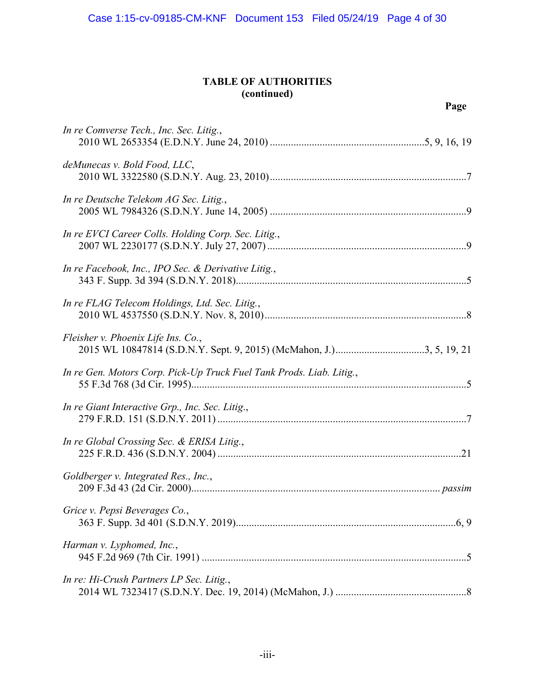# **TABLE OF AUTHORITIES (continued)**

# **Page**

| In re Comverse Tech., Inc. Sec. Litig.,                              |
|----------------------------------------------------------------------|
| deMunecas v. Bold Food, LLC,                                         |
| In re Deutsche Telekom AG Sec. Litig.,                               |
| In re EVCI Career Colls. Holding Corp. Sec. Litig.,                  |
| In re Facebook, Inc., IPO Sec. & Derivative Litig.,                  |
| In re FLAG Telecom Holdings, Ltd. Sec. Litig.,                       |
| Fleisher v. Phoenix Life Ins. Co.,                                   |
| In re Gen. Motors Corp. Pick-Up Truck Fuel Tank Prods. Liab. Litig., |
| In re Giant Interactive Grp., Inc. Sec. Litig.,                      |
| In re Global Crossing Sec. & ERISA Litig.,                           |
| Goldberger v. Integrated Res., Inc.,                                 |
| Grice v. Pepsi Beverages Co.,                                        |
| Harman v. Lyphomed, Inc.,                                            |
| In re: Hi-Crush Partners LP Sec. Litig.,                             |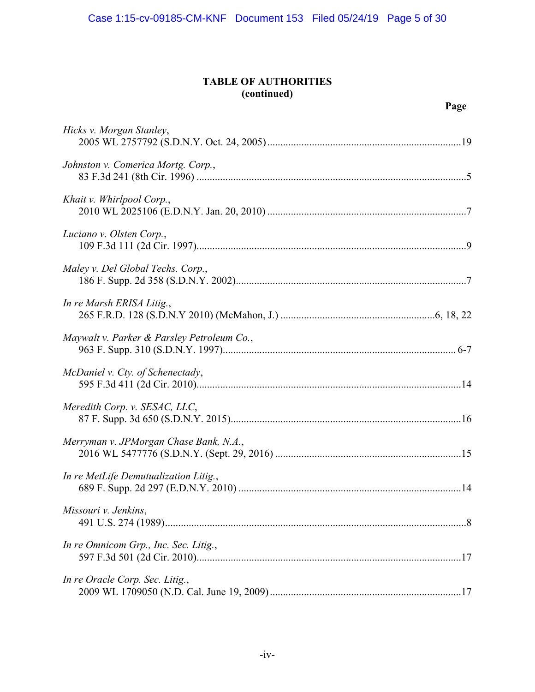# **TABLE OF AUTHORITIES (continued)**

| Hicks v. Morgan Stanley,                   |
|--------------------------------------------|
| Johnston v. Comerica Mortg. Corp.,         |
| Khait v. Whirlpool Corp.,                  |
| Luciano v. Olsten Corp.,                   |
| Maley v. Del Global Techs. Corp.,          |
| In re Marsh ERISA Litig.,                  |
| Maywalt v. Parker & Parsley Petroleum Co., |
| McDaniel v. Cty. of Schenectady,           |
| Meredith Corp. v. SESAC, LLC,              |
| Merryman v. JPMorgan Chase Bank, N.A.,     |
| In re MetLife Demutualization Litig.,      |
| Missouri v. Jenkins,                       |
| In re Omnicom Grp., Inc. Sec. Litig.,      |
| In re Oracle Corp. Sec. Litig.,            |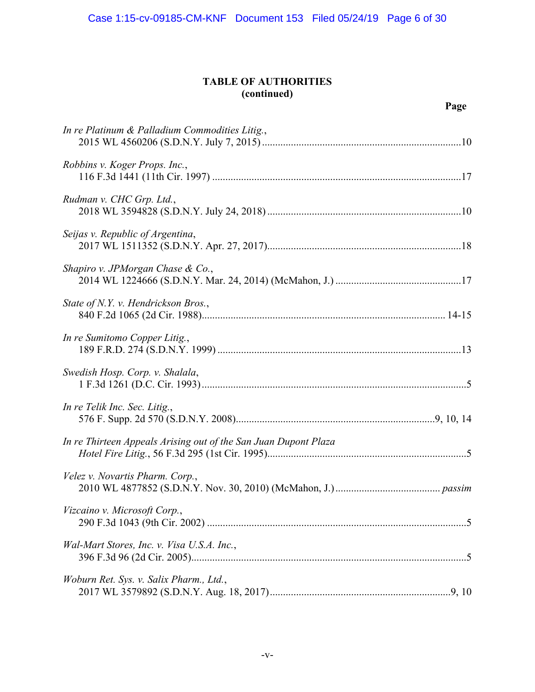# **TABLE OF AUTHORITIES (continued)**

| In re Platinum & Palladium Commodities Litig.,                  |
|-----------------------------------------------------------------|
| Robbins v. Koger Props. Inc.,                                   |
| Rudman v. CHC Grp. Ltd.,                                        |
| Seijas v. Republic of Argentina,                                |
| Shapiro v. JPMorgan Chase & Co.,                                |
| State of N.Y. v. Hendrickson Bros.,                             |
| In re Sumitomo Copper Litig.,                                   |
| Swedish Hosp. Corp. v. Shalala,                                 |
| In re Telik Inc. Sec. Litig.,                                   |
| In re Thirteen Appeals Arising out of the San Juan Dupont Plaza |
| Velez v. Novartis Pharm. Corp.,                                 |
| Vizcaino v. Microsoft Corp.,                                    |
| Wal-Mart Stores, Inc. v. Visa U.S.A. Inc.,                      |
| Woburn Ret. Sys. v. Salix Pharm., Ltd.,                         |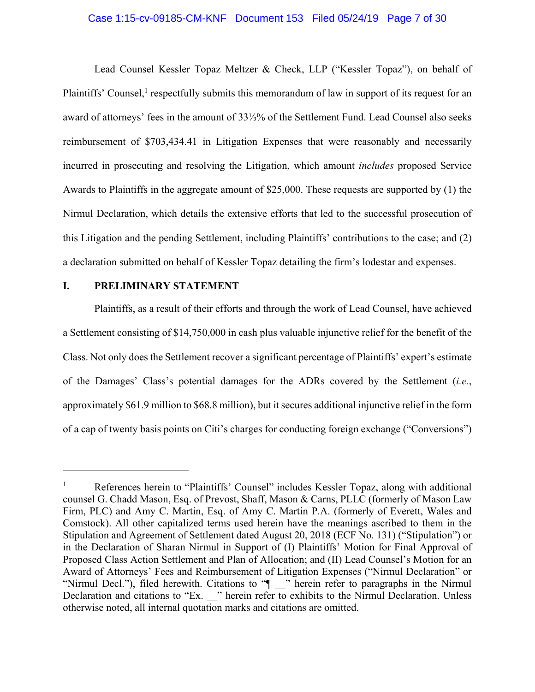#### Case 1:15-cv-09185-CM-KNF Document 153 Filed 05/24/19 Page 7 of 30

Lead Counsel Kessler Topaz Meltzer & Check, LLP ("Kessler Topaz"), on behalf of Plaintiffs' Counsel,<sup>1</sup> respectfully submits this memorandum of law in support of its request for an award of attorneys' fees in the amount of 33⅓% of the Settlement Fund. Lead Counsel also seeks reimbursement of \$703,434.41 in Litigation Expenses that were reasonably and necessarily incurred in prosecuting and resolving the Litigation, which amount *includes* proposed Service Awards to Plaintiffs in the aggregate amount of \$25,000. These requests are supported by (1) the Nirmul Declaration, which details the extensive efforts that led to the successful prosecution of this Litigation and the pending Settlement, including Plaintiffs' contributions to the case; and (2) a declaration submitted on behalf of Kessler Topaz detailing the firm's lodestar and expenses.

## **I. PRELIMINARY STATEMENT**

1

Plaintiffs, as a result of their efforts and through the work of Lead Counsel, have achieved a Settlement consisting of \$14,750,000 in cash plus valuable injunctive relief for the benefit of the Class. Not only does the Settlement recover a significant percentage of Plaintiffs' expert's estimate of the Damages' Class's potential damages for the ADRs covered by the Settlement (*i.e.*, approximately \$61.9 million to \$68.8 million), but it secures additional injunctive relief in the form of a cap of twenty basis points on Citi's charges for conducting foreign exchange ("Conversions")

<sup>1</sup> References herein to "Plaintiffs' Counsel" includes Kessler Topaz, along with additional counsel G. Chadd Mason, Esq. of Prevost, Shaff, Mason & Carns, PLLC (formerly of Mason Law Firm, PLC) and Amy C. Martin, Esq. of Amy C. Martin P.A. (formerly of Everett, Wales and Comstock). All other capitalized terms used herein have the meanings ascribed to them in the Stipulation and Agreement of Settlement dated August 20, 2018 (ECF No. 131) ("Stipulation") or in the Declaration of Sharan Nirmul in Support of (I) Plaintiffs' Motion for Final Approval of Proposed Class Action Settlement and Plan of Allocation; and (II) Lead Counsel's Motion for an Award of Attorneys' Fees and Reimbursement of Litigation Expenses ("Nirmul Declaration" or "Nirmul Decl."), filed herewith. Citations to " $\parallel$ " herein refer to paragraphs in the Nirmul Declaration and citations to "Ex. \_\_" herein refer to exhibits to the Nirmul Declaration. Unless otherwise noted, all internal quotation marks and citations are omitted.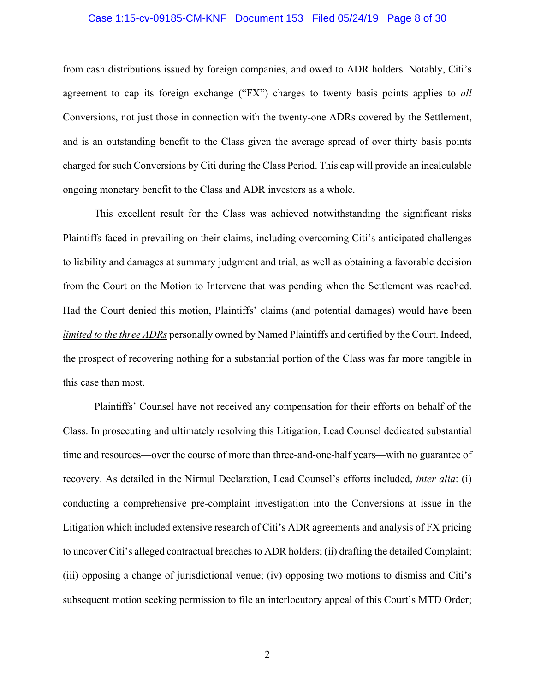### Case 1:15-cv-09185-CM-KNF Document 153 Filed 05/24/19 Page 8 of 30

from cash distributions issued by foreign companies, and owed to ADR holders. Notably, Citi's agreement to cap its foreign exchange ("FX") charges to twenty basis points applies to *all* Conversions, not just those in connection with the twenty-one ADRs covered by the Settlement, and is an outstanding benefit to the Class given the average spread of over thirty basis points charged for such Conversions by Citi during the Class Period. This cap will provide an incalculable ongoing monetary benefit to the Class and ADR investors as a whole.

This excellent result for the Class was achieved notwithstanding the significant risks Plaintiffs faced in prevailing on their claims, including overcoming Citi's anticipated challenges to liability and damages at summary judgment and trial, as well as obtaining a favorable decision from the Court on the Motion to Intervene that was pending when the Settlement was reached. Had the Court denied this motion, Plaintiffs' claims (and potential damages) would have been *limited to the three ADRs* personally owned by Named Plaintiffs and certified by the Court. Indeed, the prospect of recovering nothing for a substantial portion of the Class was far more tangible in this case than most.

Plaintiffs' Counsel have not received any compensation for their efforts on behalf of the Class. In prosecuting and ultimately resolving this Litigation, Lead Counsel dedicated substantial time and resources—over the course of more than three-and-one-half years—with no guarantee of recovery. As detailed in the Nirmul Declaration, Lead Counsel's efforts included, *inter alia*: (i) conducting a comprehensive pre-complaint investigation into the Conversions at issue in the Litigation which included extensive research of Citi's ADR agreements and analysis of FX pricing to uncover Citi's alleged contractual breaches to ADR holders; (ii) drafting the detailed Complaint; (iii) opposing a change of jurisdictional venue; (iv) opposing two motions to dismiss and Citi's subsequent motion seeking permission to file an interlocutory appeal of this Court's MTD Order;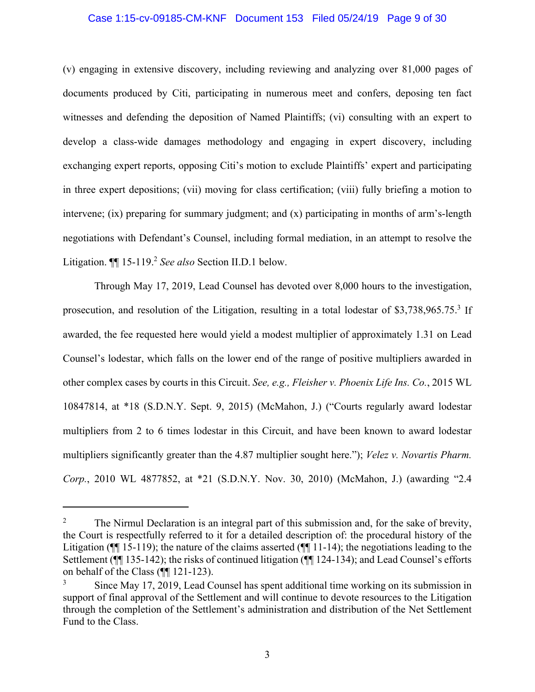#### Case 1:15-cv-09185-CM-KNF Document 153 Filed 05/24/19 Page 9 of 30

(v) engaging in extensive discovery, including reviewing and analyzing over 81,000 pages of documents produced by Citi, participating in numerous meet and confers, deposing ten fact witnesses and defending the deposition of Named Plaintiffs; (vi) consulting with an expert to develop a class-wide damages methodology and engaging in expert discovery, including exchanging expert reports, opposing Citi's motion to exclude Plaintiffs' expert and participating in three expert depositions; (vii) moving for class certification; (viii) fully briefing a motion to intervene; (ix) preparing for summary judgment; and (x) participating in months of arm's-length negotiations with Defendant's Counsel, including formal mediation, in an attempt to resolve the Litigation.  $\P$  15-119.<sup>2</sup> *See also* Section II.D.1 below.

Through May 17, 2019, Lead Counsel has devoted over 8,000 hours to the investigation, prosecution, and resolution of the Litigation, resulting in a total lodestar of \$3,738,965.75.<sup>3</sup> If awarded, the fee requested here would yield a modest multiplier of approximately 1.31 on Lead Counsel's lodestar, which falls on the lower end of the range of positive multipliers awarded in other complex cases by courts in this Circuit. *See, e.g., Fleisher v. Phoenix Life Ins. Co.*, 2015 WL 10847814, at \*18 (S.D.N.Y. Sept. 9, 2015) (McMahon, J.) ("Courts regularly award lodestar multipliers from 2 to 6 times lodestar in this Circuit, and have been known to award lodestar multipliers significantly greater than the 4.87 multiplier sought here."); *Velez v. Novartis Pharm. Corp.*, 2010 WL 4877852, at \*21 (S.D.N.Y. Nov. 30, 2010) (McMahon, J.) (awarding "2.4

<u>.</u>

<sup>2</sup> The Nirmul Declaration is an integral part of this submission and, for the sake of brevity, the Court is respectfully referred to it for a detailed description of: the procedural history of the Litigation (¶¶ 15-119); the nature of the claims asserted (¶¶ 11-14); the negotiations leading to the Settlement (¶¶ 135-142); the risks of continued litigation (¶¶ 124-134); and Lead Counsel's efforts on behalf of the Class (¶¶ 121-123).

<sup>3</sup> Since May 17, 2019, Lead Counsel has spent additional time working on its submission in support of final approval of the Settlement and will continue to devote resources to the Litigation through the completion of the Settlement's administration and distribution of the Net Settlement Fund to the Class.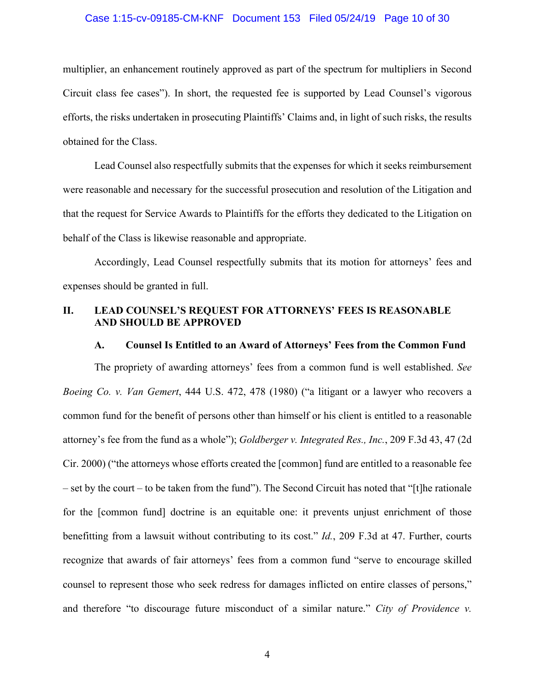### Case 1:15-cv-09185-CM-KNF Document 153 Filed 05/24/19 Page 10 of 30

multiplier, an enhancement routinely approved as part of the spectrum for multipliers in Second Circuit class fee cases"). In short, the requested fee is supported by Lead Counsel's vigorous efforts, the risks undertaken in prosecuting Plaintiffs' Claims and, in light of such risks, the results obtained for the Class.

Lead Counsel also respectfully submits that the expenses for which it seeks reimbursement were reasonable and necessary for the successful prosecution and resolution of the Litigation and that the request for Service Awards to Plaintiffs for the efforts they dedicated to the Litigation on behalf of the Class is likewise reasonable and appropriate.

Accordingly, Lead Counsel respectfully submits that its motion for attorneys' fees and expenses should be granted in full.

# **II. LEAD COUNSEL'S REQUEST FOR ATTORNEYS' FEES IS REASONABLE AND SHOULD BE APPROVED**

#### **A. Counsel Is Entitled to an Award of Attorneys' Fees from the Common Fund**

The propriety of awarding attorneys' fees from a common fund is well established. *See Boeing Co. v. Van Gemert*, 444 U.S. 472, 478 (1980) ("a litigant or a lawyer who recovers a common fund for the benefit of persons other than himself or his client is entitled to a reasonable attorney's fee from the fund as a whole"); *Goldberger v. Integrated Res., Inc.*, 209 F.3d 43, 47 (2d Cir. 2000) ("the attorneys whose efforts created the [common] fund are entitled to a reasonable fee – set by the court – to be taken from the fund"). The Second Circuit has noted that "[t]he rationale for the [common fund] doctrine is an equitable one: it prevents unjust enrichment of those benefitting from a lawsuit without contributing to its cost." *Id.*, 209 F.3d at 47. Further, courts recognize that awards of fair attorneys' fees from a common fund "serve to encourage skilled counsel to represent those who seek redress for damages inflicted on entire classes of persons," and therefore "to discourage future misconduct of a similar nature." *City of Providence v.*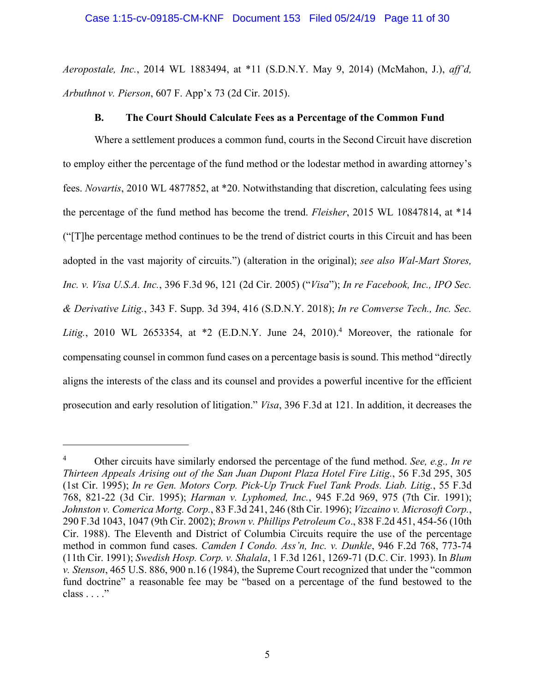*Aeropostale, Inc.*, 2014 WL 1883494, at \*11 (S.D.N.Y. May 9, 2014) (McMahon, J.), *aff'd, Arbuthnot v. Pierson*, 607 F. App'x 73 (2d Cir. 2015).

# **B. The Court Should Calculate Fees as a Percentage of the Common Fund**

Where a settlement produces a common fund, courts in the Second Circuit have discretion to employ either the percentage of the fund method or the lodestar method in awarding attorney's fees. *Novartis*, 2010 WL 4877852, at \*20. Notwithstanding that discretion, calculating fees using the percentage of the fund method has become the trend. *Fleisher*, 2015 WL 10847814, at \*14 ("[T]he percentage method continues to be the trend of district courts in this Circuit and has been adopted in the vast majority of circuits.") (alteration in the original); *see also Wal-Mart Stores, Inc. v. Visa U.S.A. Inc.*, 396 F.3d 96, 121 (2d Cir. 2005) ("*Visa*"); *In re Facebook, Inc., IPO Sec. & Derivative Litig.*, 343 F. Supp. 3d 394, 416 (S.D.N.Y. 2018); *In re Comverse Tech., Inc. Sec.*  Litig., 2010 WL 2653354, at  $*2$  (E.D.N.Y. June 24, 2010).<sup>4</sup> Moreover, the rationale for compensating counsel in common fund cases on a percentage basis is sound. This method "directly aligns the interests of the class and its counsel and provides a powerful incentive for the efficient prosecution and early resolution of litigation." *Visa*, 396 F.3d at 121. In addition, it decreases the

<sup>4</sup> Other circuits have similarly endorsed the percentage of the fund method. *See, e.g., In re Thirteen Appeals Arising out of the San Juan Dupont Plaza Hotel Fire Litig.*, 56 F.3d 295, 305 (1st Cir. 1995); *In re Gen. Motors Corp. Pick-Up Truck Fuel Tank Prods. Liab. Litig.*, 55 F.3d 768, 821-22 (3d Cir. 1995); *Harman v. Lyphomed, Inc.*, 945 F.2d 969, 975 (7th Cir. 1991); *Johnston v. Comerica Mortg. Corp.*, 83 F.3d 241, 246 (8th Cir. 1996); *Vizcaino v. Microsoft Corp.*, 290 F.3d 1043, 1047 (9th Cir. 2002); *Brown v. Phillips Petroleum Co*., 838 F.2d 451, 454-56 (10th Cir. 1988). The Eleventh and District of Columbia Circuits require the use of the percentage method in common fund cases. *Camden I Condo. Ass'n, Inc. v. Dunkle*, 946 F.2d 768, 773-74 (11th Cir. 1991); *Swedish Hosp. Corp. v. Shalala*, 1 F.3d 1261, 1269-71 (D.C. Cir. 1993). In *Blum v. Stenson*, 465 U.S. 886, 900 n.16 (1984), the Supreme Court recognized that under the "common fund doctrine" a reasonable fee may be "based on a percentage of the fund bestowed to the class . . . ."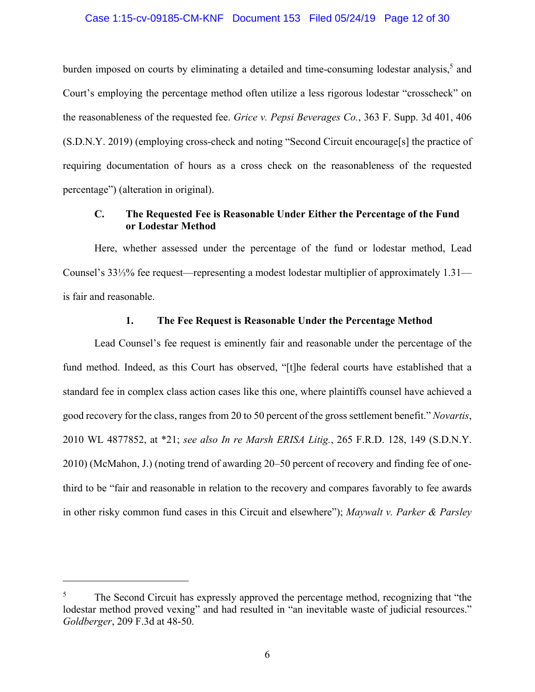### Case 1:15-cv-09185-CM-KNF Document 153 Filed 05/24/19 Page 12 of 30

burden imposed on courts by eliminating a detailed and time-consuming lodestar analysis,<sup>5</sup> and Court's employing the percentage method often utilize a less rigorous lodestar "crosscheck" on the reasonableness of the requested fee. *Grice v. Pepsi Beverages Co.*, 363 F. Supp. 3d 401, 406 (S.D.N.Y. 2019) (employing cross-check and noting "Second Circuit encourage[s] the practice of requiring documentation of hours as a cross check on the reasonableness of the requested percentage") (alteration in original).

# **C. The Requested Fee is Reasonable Under Either the Percentage of the Fund or Lodestar Method**

Here, whether assessed under the percentage of the fund or lodestar method, Lead Counsel's 33⅓% fee request—representing a modest lodestar multiplier of approximately 1.31 is fair and reasonable.

## **1. The Fee Request is Reasonable Under the Percentage Method**

Lead Counsel's fee request is eminently fair and reasonable under the percentage of the fund method. Indeed, as this Court has observed, "[t]he federal courts have established that a standard fee in complex class action cases like this one, where plaintiffs counsel have achieved a good recovery for the class, ranges from 20 to 50 percent of the gross settlement benefit." *Novartis*, 2010 WL 4877852, at \*21; *see also In re Marsh ERISA Litig.*, 265 F.R.D. 128, 149 (S.D.N.Y. 2010) (McMahon, J.) (noting trend of awarding 20–50 percent of recovery and finding fee of onethird to be "fair and reasonable in relation to the recovery and compares favorably to fee awards in other risky common fund cases in this Circuit and elsewhere"); *Maywalt v. Parker & Parsley* 

<u>.</u>

<sup>5</sup> The Second Circuit has expressly approved the percentage method, recognizing that "the lodestar method proved vexing" and had resulted in "an inevitable waste of judicial resources." *Goldberger*, 209 F.3d at 48-50.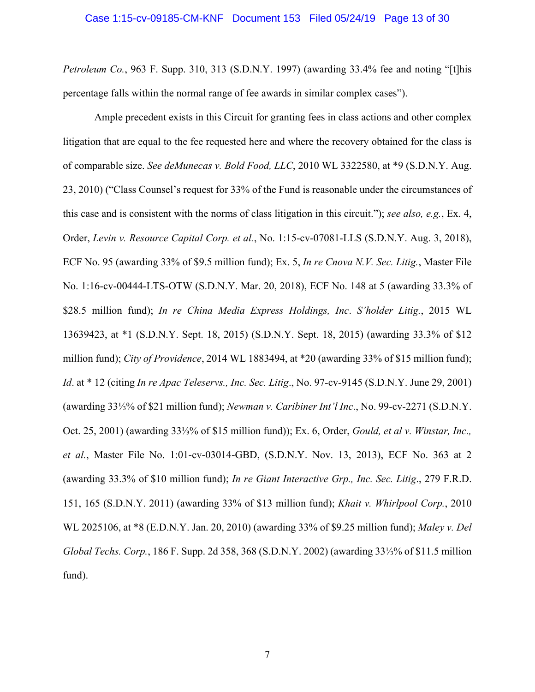### Case 1:15-cv-09185-CM-KNF Document 153 Filed 05/24/19 Page 13 of 30

*Petroleum Co.*, 963 F. Supp. 310, 313 (S.D.N.Y. 1997) (awarding 33.4% fee and noting "[t]his percentage falls within the normal range of fee awards in similar complex cases").

Ample precedent exists in this Circuit for granting fees in class actions and other complex litigation that are equal to the fee requested here and where the recovery obtained for the class is of comparable size. *See deMunecas v. Bold Food, LLC*, 2010 WL 3322580, at \*9 (S.D.N.Y. Aug. 23, 2010) ("Class Counsel's request for 33% of the Fund is reasonable under the circumstances of this case and is consistent with the norms of class litigation in this circuit."); *see also, e.g.*, Ex. 4, Order, *Levin v. Resource Capital Corp. et al.*, No. 1:15-cv-07081-LLS (S.D.N.Y. Aug. 3, 2018), ECF No. 95 (awarding 33% of \$9.5 million fund); Ex. 5, *In re Cnova N.V. Sec. Litig.*, Master File No. 1:16-cv-00444-LTS-OTW (S.D.N.Y. Mar. 20, 2018), ECF No. 148 at 5 (awarding 33.3% of \$28.5 million fund); *In re China Media Express Holdings, Inc*. *S'holder Litig.*, 2015 WL 13639423, at \*1 (S.D.N.Y. Sept. 18, 2015) (S.D.N.Y. Sept. 18, 2015) (awarding 33.3% of \$12 million fund); *City of Providence*, 2014 WL 1883494, at \*20 (awarding 33% of \$15 million fund); *Id*. at \* 12 (citing *In re Apac Teleservs., Inc. Sec. Litig*., No. 97-cv-9145 (S.D.N.Y. June 29, 2001) (awarding 33⅓% of \$21 million fund); *Newman v. Caribiner Int'l Inc*., No. 99-cv-2271 (S.D.N.Y. Oct. 25, 2001) (awarding 33⅓% of \$15 million fund)); Ex. 6, Order, *Gould, et al v. Winstar, Inc., et al.*, Master File No. 1:01-cv-03014-GBD, (S.D.N.Y. Nov. 13, 2013), ECF No. 363 at 2 (awarding 33.3% of \$10 million fund); *In re Giant Interactive Grp., Inc. Sec. Litig*., 279 F.R.D. 151, 165 (S.D.N.Y. 2011) (awarding 33% of \$13 million fund); *Khait v. Whirlpool Corp.*, 2010 WL 2025106, at \*8 (E.D.N.Y. Jan. 20, 2010) (awarding 33% of \$9.25 million fund); *Maley v. Del Global Techs. Corp.*, 186 F. Supp. 2d 358, 368 (S.D.N.Y. 2002) (awarding 33⅓% of \$11.5 million fund).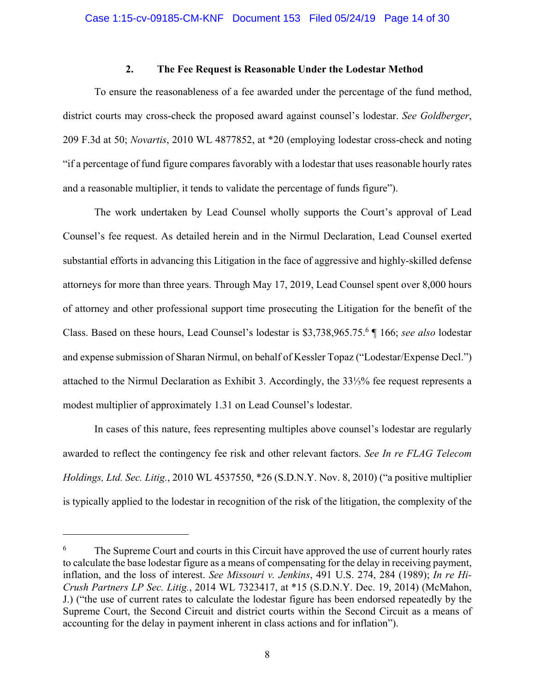## **2. The Fee Request is Reasonable Under the Lodestar Method**

To ensure the reasonableness of a fee awarded under the percentage of the fund method, district courts may cross-check the proposed award against counsel's lodestar. *See Goldberger*, 209 F.3d at 50; *Novartis*, 2010 WL 4877852, at \*20 (employing lodestar cross-check and noting "if a percentage of fund figure compares favorably with a lodestar that uses reasonable hourly rates and a reasonable multiplier, it tends to validate the percentage of funds figure").

The work undertaken by Lead Counsel wholly supports the Court's approval of Lead Counsel's fee request. As detailed herein and in the Nirmul Declaration, Lead Counsel exerted substantial efforts in advancing this Litigation in the face of aggressive and highly-skilled defense attorneys for more than three years. Through May 17, 2019, Lead Counsel spent over 8,000 hours of attorney and other professional support time prosecuting the Litigation for the benefit of the Class. Based on these hours, Lead Counsel's lodestar is \$3,738,965.75.<sup>6</sup> ¶ 166; *see also* lodestar and expense submission of Sharan Nirmul, on behalf of Kessler Topaz ("Lodestar/Expense Decl.") attached to the Nirmul Declaration as Exhibit 3. Accordingly, the 33⅓% fee request represents a modest multiplier of approximately 1.31 on Lead Counsel's lodestar.

In cases of this nature, fees representing multiples above counsel's lodestar are regularly awarded to reflect the contingency fee risk and other relevant factors. *See In re FLAG Telecom Holdings, Ltd. Sec. Litig.*, 2010 WL 4537550, \*26 (S.D.N.Y. Nov. 8, 2010) ("a positive multiplier is typically applied to the lodestar in recognition of the risk of the litigation, the complexity of the

<sup>6</sup> The Supreme Court and courts in this Circuit have approved the use of current hourly rates to calculate the base lodestar figure as a means of compensating for the delay in receiving payment, inflation, and the loss of interest. *See Missouri v. Jenkins*, 491 U.S. 274, 284 (1989); *In re Hi-Crush Partners LP Sec. Litig.*, 2014 WL 7323417, at \*15 (S.D.N.Y. Dec. 19, 2014) (McMahon, J.) ("the use of current rates to calculate the lodestar figure has been endorsed repeatedly by the Supreme Court, the Second Circuit and district courts within the Second Circuit as a means of accounting for the delay in payment inherent in class actions and for inflation").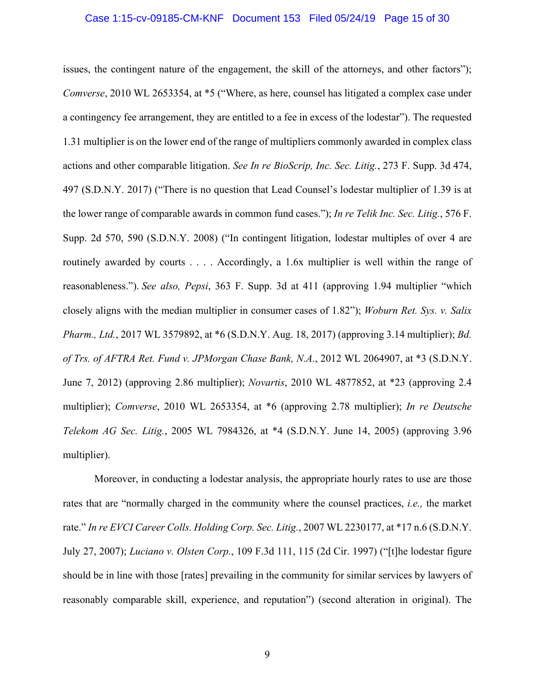#### Case 1:15-cv-09185-CM-KNF Document 153 Filed 05/24/19 Page 15 of 30

issues, the contingent nature of the engagement, the skill of the attorneys, and other factors"); *Comverse*, 2010 WL 2653354, at \*5 ("Where, as here, counsel has litigated a complex case under a contingency fee arrangement, they are entitled to a fee in excess of the lodestar"). The requested 1.31 multiplier is on the lower end of the range of multipliers commonly awarded in complex class actions and other comparable litigation. *See In re BioScrip, Inc. Sec. Litig.*, 273 F. Supp. 3d 474, 497 (S.D.N.Y. 2017) ("There is no question that Lead Counsel's lodestar multiplier of 1.39 is at the lower range of comparable awards in common fund cases."); *In re Telik Inc. Sec. Litig.*, 576 F. Supp. 2d 570, 590 (S.D.N.Y. 2008) ("In contingent litigation, lodestar multiples of over 4 are routinely awarded by courts . . . . Accordingly, a 1.6x multiplier is well within the range of reasonableness."). *See also, Pepsi*, 363 F. Supp. 3d at 411 (approving 1.94 multiplier "which closely aligns with the median multiplier in consumer cases of 1.82"); *Woburn Ret. Sys. v. Salix Pharm., Ltd.*, 2017 WL 3579892, at \*6 (S.D.N.Y. Aug. 18, 2017) (approving 3.14 multiplier); *Bd. of Trs. of AFTRA Ret. Fund v. JPMorgan Chase Bank, N.A.*, 2012 WL 2064907, at \*3 (S.D.N.Y. June 7, 2012) (approving 2.86 multiplier); *Novartis*, 2010 WL 4877852, at \*23 (approving 2.4 multiplier); *Comverse*, 2010 WL 2653354, at \*6 (approving 2.78 multiplier); *In re Deutsche Telekom AG Sec. Litig.*, 2005 WL 7984326, at \*4 (S.D.N.Y. June 14, 2005) (approving 3.96 multiplier).

Moreover, in conducting a lodestar analysis, the appropriate hourly rates to use are those rates that are "normally charged in the community where the counsel practices, *i.e.,* the market rate." *In re EVCI Career Colls. Holding Corp. Sec. Litig.*, 2007 WL 2230177, at \*17 n.6 (S.D.N.Y. July 27, 2007); *Luciano v. Olsten Corp.*, 109 F.3d 111, 115 (2d Cir. 1997) ("[t]he lodestar figure should be in line with those [rates] prevailing in the community for similar services by lawyers of reasonably comparable skill, experience, and reputation") (second alteration in original). The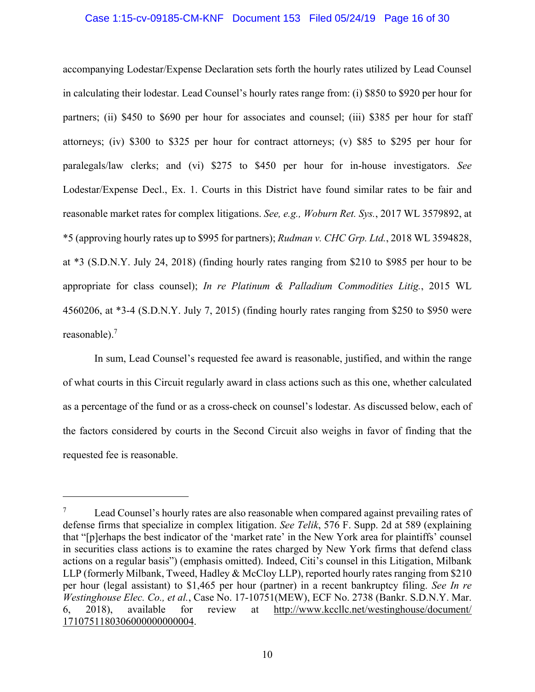### Case 1:15-cv-09185-CM-KNF Document 153 Filed 05/24/19 Page 16 of 30

accompanying Lodestar/Expense Declaration sets forth the hourly rates utilized by Lead Counsel in calculating their lodestar. Lead Counsel's hourly rates range from: (i) \$850 to \$920 per hour for partners; (ii) \$450 to \$690 per hour for associates and counsel; (iii) \$385 per hour for staff attorneys; (iv) \$300 to \$325 per hour for contract attorneys; (v) \$85 to \$295 per hour for paralegals/law clerks; and (vi) \$275 to \$450 per hour for in-house investigators. *See* Lodestar/Expense Decl., Ex. 1. Courts in this District have found similar rates to be fair and reasonable market rates for complex litigations. *See, e.g., Woburn Ret. Sys.*, 2017 WL 3579892, at \*5 (approving hourly rates up to \$995 for partners); *Rudman v. CHC Grp. Ltd.*, 2018 WL 3594828, at \*3 (S.D.N.Y. July 24, 2018) (finding hourly rates ranging from \$210 to \$985 per hour to be appropriate for class counsel); *In re Platinum & Palladium Commodities Litig.*, 2015 WL 4560206, at \*3-4 (S.D.N.Y. July 7, 2015) (finding hourly rates ranging from \$250 to \$950 were reasonable).<sup>7</sup>

In sum, Lead Counsel's requested fee award is reasonable, justified, and within the range of what courts in this Circuit regularly award in class actions such as this one, whether calculated as a percentage of the fund or as a cross-check on counsel's lodestar. As discussed below, each of the factors considered by courts in the Second Circuit also weighs in favor of finding that the requested fee is reasonable.

<sup>7</sup> Lead Counsel's hourly rates are also reasonable when compared against prevailing rates of defense firms that specialize in complex litigation. *See Telik*, 576 F. Supp. 2d at 589 (explaining that "[p]erhaps the best indicator of the 'market rate' in the New York area for plaintiffs' counsel in securities class actions is to examine the rates charged by New York firms that defend class actions on a regular basis") (emphasis omitted). Indeed, Citi's counsel in this Litigation, Milbank LLP (formerly Milbank, Tweed, Hadley & McCloy LLP), reported hourly rates ranging from \$210 per hour (legal assistant) to \$1,465 per hour (partner) in a recent bankruptcy filing. *See In re Westinghouse Elec. Co., et al.*, Case No. 17-10751(MEW), ECF No. 2738 (Bankr. S.D.N.Y. Mar. 6, 2018), available for review at http://www.kccllc.net/westinghouse/document/ 1710751180306000000000004.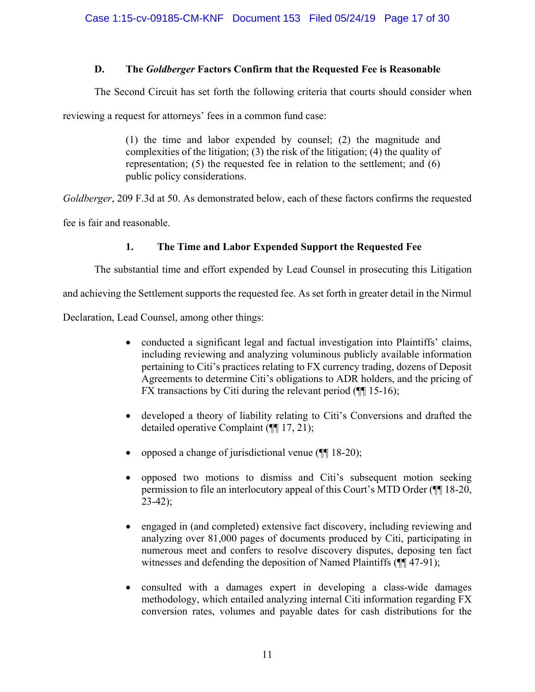# **D. The** *Goldberger* **Factors Confirm that the Requested Fee is Reasonable**

The Second Circuit has set forth the following criteria that courts should consider when

reviewing a request for attorneys' fees in a common fund case:

(1) the time and labor expended by counsel; (2) the magnitude and complexities of the litigation; (3) the risk of the litigation; (4) the quality of representation; (5) the requested fee in relation to the settlement; and (6) public policy considerations.

*Goldberger*, 209 F.3d at 50. As demonstrated below, each of these factors confirms the requested

fee is fair and reasonable.

# **1. The Time and Labor Expended Support the Requested Fee**

The substantial time and effort expended by Lead Counsel in prosecuting this Litigation

and achieving the Settlement supports the requested fee. As set forth in greater detail in the Nirmul

Declaration, Lead Counsel, among other things:

- conducted a significant legal and factual investigation into Plaintiffs' claims, including reviewing and analyzing voluminous publicly available information pertaining to Citi's practices relating to FX currency trading, dozens of Deposit Agreements to determine Citi's obligations to ADR holders, and the pricing of FX transactions by Citi during the relevant period  $(\P\P 15-16)$ ;
- developed a theory of liability relating to Citi's Conversions and drafted the detailed operative Complaint (¶¶ 17, 21);
- opposed a change of jurisdictional venue (¶¶ 18-20);
- opposed two motions to dismiss and Citi's subsequent motion seeking permission to file an interlocutory appeal of this Court's MTD Order (¶¶ 18-20,  $23-42$ :
- engaged in (and completed) extensive fact discovery, including reviewing and analyzing over 81,000 pages of documents produced by Citi, participating in numerous meet and confers to resolve discovery disputes, deposing ten fact witnesses and defending the deposition of Named Plaintiffs (¶¶ 47-91);
- consulted with a damages expert in developing a class-wide damages methodology, which entailed analyzing internal Citi information regarding FX conversion rates, volumes and payable dates for cash distributions for the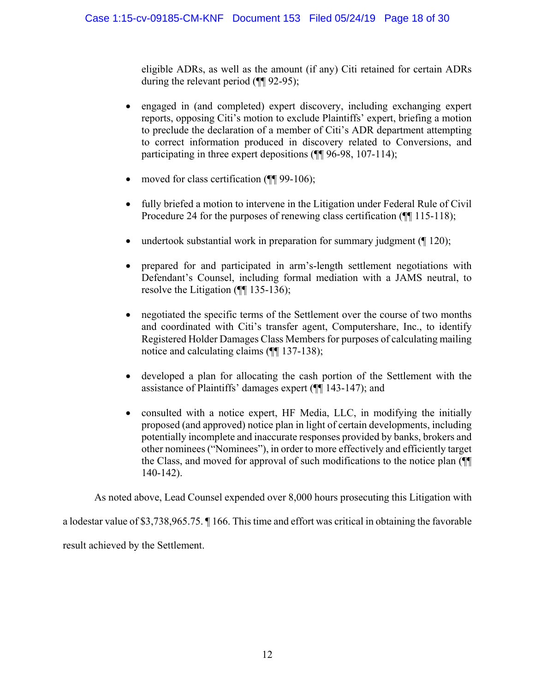eligible ADRs, as well as the amount (if any) Citi retained for certain ADRs during the relevant period ( $\P$ [92-95);

- engaged in (and completed) expert discovery, including exchanging expert reports, opposing Citi's motion to exclude Plaintiffs' expert, briefing a motion to preclude the declaration of a member of Citi's ADR department attempting to correct information produced in discovery related to Conversions, and participating in three expert depositions ( $\P$  96-98, 107-114);
- moved for class certification ( $\P$ [99-106);
- fully briefed a motion to intervene in the Litigation under Federal Rule of Civil Procedure 24 for the purposes of renewing class certification ( $\P$ [115-118);
- undertook substantial work in preparation for summary judgment  $(\sqrt{\frac{120}{120}})$ ;
- prepared for and participated in arm's-length settlement negotiations with Defendant's Counsel, including formal mediation with a JAMS neutral, to resolve the Litigation (¶¶ 135-136);
- negotiated the specific terms of the Settlement over the course of two months and coordinated with Citi's transfer agent, Computershare, Inc., to identify Registered Holder Damages Class Members for purposes of calculating mailing notice and calculating claims (¶¶ 137-138);
- developed a plan for allocating the cash portion of the Settlement with the assistance of Plaintiffs' damages expert (¶¶ 143-147); and
- consulted with a notice expert, HF Media, LLC, in modifying the initially proposed (and approved) notice plan in light of certain developments, including potentially incomplete and inaccurate responses provided by banks, brokers and other nominees ("Nominees"), in order to more effectively and efficiently target the Class, and moved for approval of such modifications to the notice plan (¶¶ 140-142).

As noted above, Lead Counsel expended over 8,000 hours prosecuting this Litigation with

a lodestar value of \$3,738,965.75. ¶ 166. This time and effort was critical in obtaining the favorable result achieved by the Settlement.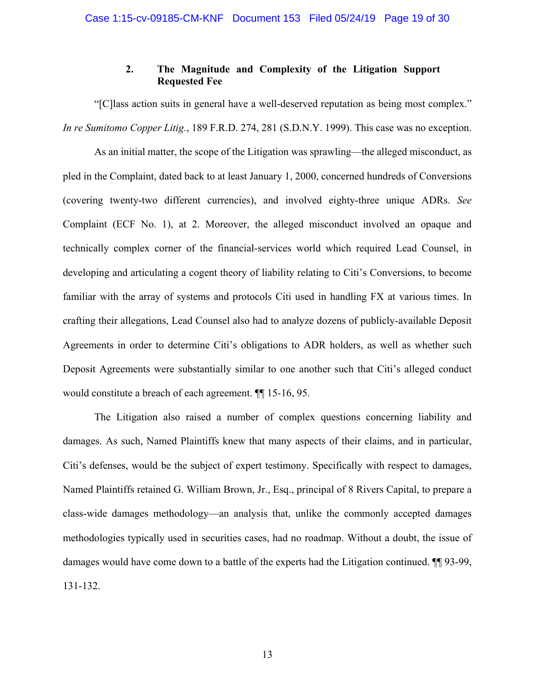# **2. The Magnitude and Complexity of the Litigation Support Requested Fee**

"[C]lass action suits in general have a well-deserved reputation as being most complex." *In re Sumitomo Copper Litig.*, 189 F.R.D. 274, 281 (S.D.N.Y. 1999). This case was no exception.

As an initial matter, the scope of the Litigation was sprawling—the alleged misconduct, as pled in the Complaint, dated back to at least January 1, 2000, concerned hundreds of Conversions (covering twenty-two different currencies), and involved eighty-three unique ADRs. *See* Complaint (ECF No. 1), at 2. Moreover, the alleged misconduct involved an opaque and technically complex corner of the financial-services world which required Lead Counsel, in developing and articulating a cogent theory of liability relating to Citi's Conversions, to become familiar with the array of systems and protocols Citi used in handling FX at various times. In crafting their allegations, Lead Counsel also had to analyze dozens of publicly-available Deposit Agreements in order to determine Citi's obligations to ADR holders, as well as whether such Deposit Agreements were substantially similar to one another such that Citi's alleged conduct would constitute a breach of each agreement. ¶¶ 15-16, 95.

The Litigation also raised a number of complex questions concerning liability and damages. As such, Named Plaintiffs knew that many aspects of their claims, and in particular, Citi's defenses, would be the subject of expert testimony. Specifically with respect to damages, Named Plaintiffs retained G. William Brown, Jr., Esq., principal of 8 Rivers Capital, to prepare a class-wide damages methodology—an analysis that, unlike the commonly accepted damages methodologies typically used in securities cases, had no roadmap. Without a doubt, the issue of damages would have come down to a battle of the experts had the Litigation continued. ¶¶ 93-99, 131-132.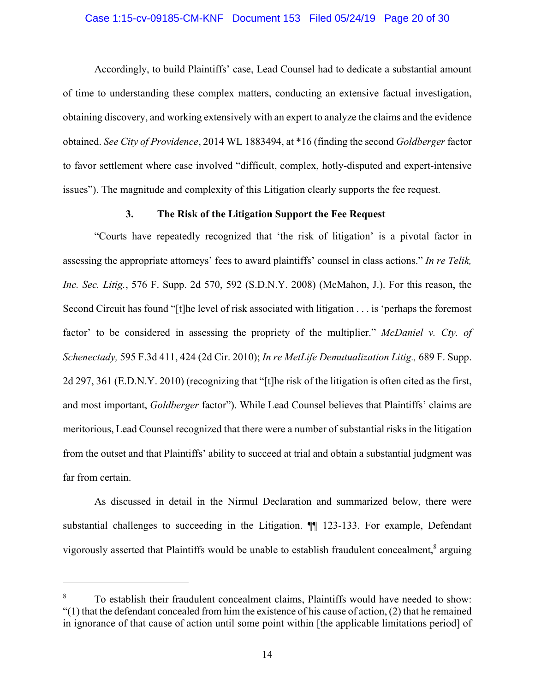# Case 1:15-cv-09185-CM-KNF Document 153 Filed 05/24/19 Page 20 of 30

Accordingly, to build Plaintiffs' case, Lead Counsel had to dedicate a substantial amount of time to understanding these complex matters, conducting an extensive factual investigation, obtaining discovery, and working extensively with an expert to analyze the claims and the evidence obtained. *See City of Providence*, 2014 WL 1883494, at \*16 (finding the second *Goldberger* factor to favor settlement where case involved "difficult, complex, hotly-disputed and expert-intensive issues"). The magnitude and complexity of this Litigation clearly supports the fee request.

## **3. The Risk of the Litigation Support the Fee Request**

"Courts have repeatedly recognized that 'the risk of litigation' is a pivotal factor in assessing the appropriate attorneys' fees to award plaintiffs' counsel in class actions." *In re Telik, Inc. Sec. Litig.*, 576 F. Supp. 2d 570, 592 (S.D.N.Y. 2008) (McMahon, J.). For this reason, the Second Circuit has found "[t]he level of risk associated with litigation . . . is 'perhaps the foremost factor' to be considered in assessing the propriety of the multiplier." *McDaniel v. Cty. of Schenectady,* 595 F.3d 411, 424 (2d Cir. 2010); *In re MetLife Demutualization Litig.,* 689 F. Supp. 2d 297, 361 (E.D.N.Y. 2010) (recognizing that "[t]he risk of the litigation is often cited as the first, and most important, *Goldberger* factor"). While Lead Counsel believes that Plaintiffs' claims are meritorious, Lead Counsel recognized that there were a number of substantial risks in the litigation from the outset and that Plaintiffs' ability to succeed at trial and obtain a substantial judgment was far from certain.

As discussed in detail in the Nirmul Declaration and summarized below, there were substantial challenges to succeeding in the Litigation. ¶¶ 123-133. For example, Defendant vigorously asserted that Plaintiffs would be unable to establish fraudulent concealment,<sup>8</sup> arguing

1

<sup>8</sup> To establish their fraudulent concealment claims, Plaintiffs would have needed to show:  $(1)$  that the defendant concealed from him the existence of his cause of action, (2) that he remained in ignorance of that cause of action until some point within [the applicable limitations period] of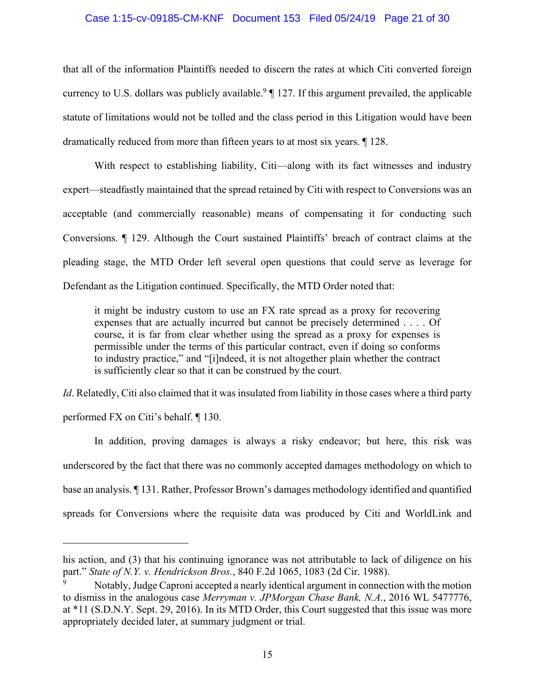### Case 1:15-cv-09185-CM-KNF Document 153 Filed 05/24/19 Page 21 of 30

that all of the information Plaintiffs needed to discern the rates at which Citi converted foreign currency to U.S. dollars was publicly available.<sup>9</sup>  $\parallel$  127. If this argument prevailed, the applicable statute of limitations would not be tolled and the class period in this Litigation would have been dramatically reduced from more than fifteen years to at most six years. ¶ 128.

With respect to establishing liability, Citi—along with its fact witnesses and industry expert—steadfastly maintained that the spread retained by Citi with respect to Conversions was an acceptable (and commercially reasonable) means of compensating it for conducting such Conversions. ¶ 129. Although the Court sustained Plaintiffs' breach of contract claims at the pleading stage, the MTD Order left several open questions that could serve as leverage for Defendant as the Litigation continued. Specifically, the MTD Order noted that:

it might be industry custom to use an FX rate spread as a proxy for recovering expenses that are actually incurred but cannot be precisely determined . . . . Of course, it is far from clear whether using the spread as a proxy for expenses is permissible under the terms of this particular contract, even if doing so conforms to industry practice," and "[i]ndeed, it is not altogether plain whether the contract is sufficiently clear so that it can be construed by the court.

*Id*. Relatedly, Citi also claimed that it was insulated from liability in those cases where a third party performed FX on Citi's behalf. ¶ 130.

In addition, proving damages is always a risky endeavor; but here, this risk was underscored by the fact that there was no commonly accepted damages methodology on which to base an analysis. ¶ 131. Rather, Professor Brown's damages methodology identified and quantified spreads for Conversions where the requisite data was produced by Citi and WorldLink and

his action, and (3) that his continuing ignorance was not attributable to lack of diligence on his part." *State of N.Y. v. Hendrickson Bros.*, 840 F.2d 1065, 1083 (2d Cir. 1988).

<sup>9</sup> Notably, Judge Caproni accepted a nearly identical argument in connection with the motion to dismiss in the analogous case *Merryman v. JPMorgan Chase Bank, N.A.*, 2016 WL 5477776, at \*11 (S.D.N.Y. Sept. 29, 2016). In its MTD Order, this Court suggested that this issue was more appropriately decided later, at summary judgment or trial.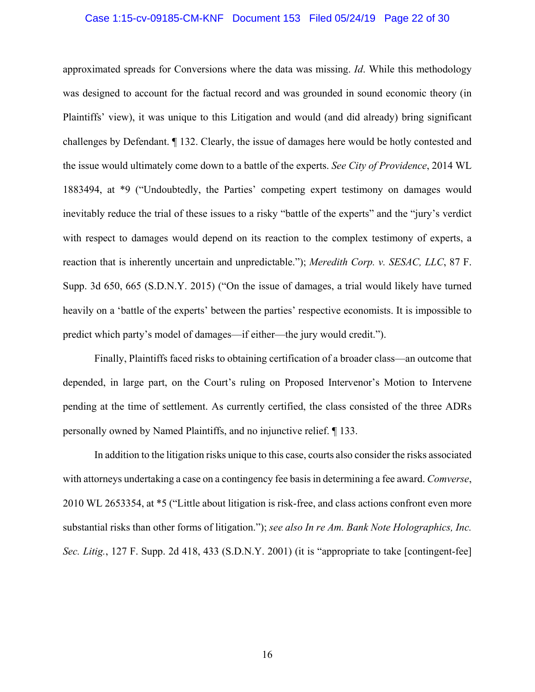### Case 1:15-cv-09185-CM-KNF Document 153 Filed 05/24/19 Page 22 of 30

approximated spreads for Conversions where the data was missing. *Id*. While this methodology was designed to account for the factual record and was grounded in sound economic theory (in Plaintiffs' view), it was unique to this Litigation and would (and did already) bring significant challenges by Defendant. ¶ 132. Clearly, the issue of damages here would be hotly contested and the issue would ultimately come down to a battle of the experts. *See City of Providence*, 2014 WL 1883494, at \*9 ("Undoubtedly, the Parties' competing expert testimony on damages would inevitably reduce the trial of these issues to a risky "battle of the experts" and the "jury's verdict with respect to damages would depend on its reaction to the complex testimony of experts, a reaction that is inherently uncertain and unpredictable."); *Meredith Corp. v. SESAC, LLC*, 87 F. Supp. 3d 650, 665 (S.D.N.Y. 2015) ("On the issue of damages, a trial would likely have turned heavily on a 'battle of the experts' between the parties' respective economists. It is impossible to predict which party's model of damages—if either—the jury would credit.").

Finally, Plaintiffs faced risks to obtaining certification of a broader class—an outcome that depended, in large part, on the Court's ruling on Proposed Intervenor's Motion to Intervene pending at the time of settlement. As currently certified, the class consisted of the three ADRs personally owned by Named Plaintiffs, and no injunctive relief. ¶ 133.

In addition to the litigation risks unique to this case, courts also consider the risks associated with attorneys undertaking a case on a contingency fee basis in determining a fee award. *Comverse*, 2010 WL 2653354, at \*5 ("Little about litigation is risk-free, and class actions confront even more substantial risks than other forms of litigation."); *see also In re Am. Bank Note Holographics, Inc. Sec. Litig.*, 127 F. Supp. 2d 418, 433 (S.D.N.Y. 2001) (it is "appropriate to take [contingent-fee]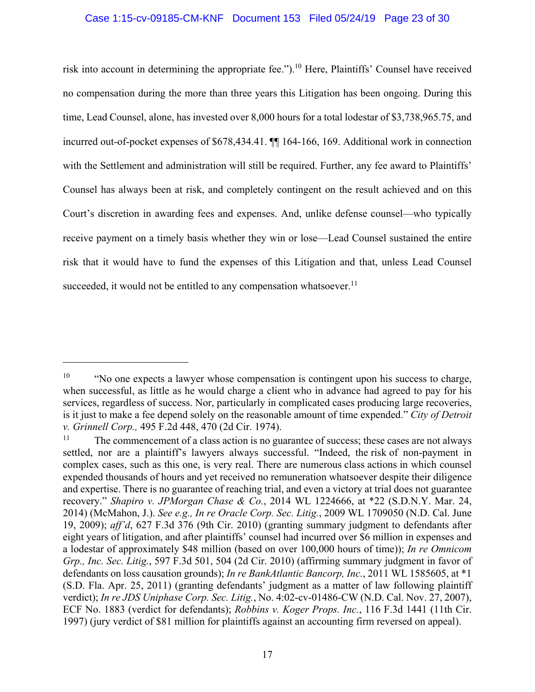## Case 1:15-cv-09185-CM-KNF Document 153 Filed 05/24/19 Page 23 of 30

risk into account in determining the appropriate fee.").<sup>10</sup> Here, Plaintiffs' Counsel have received no compensation during the more than three years this Litigation has been ongoing. During this time, Lead Counsel, alone, has invested over 8,000 hours for a total lodestar of \$3,738,965.75, and incurred out-of-pocket expenses of \$678,434.41. ¶¶ 164-166, 169. Additional work in connection with the Settlement and administration will still be required. Further, any fee award to Plaintiffs' Counsel has always been at risk, and completely contingent on the result achieved and on this Court's discretion in awarding fees and expenses. And, unlike defense counsel—who typically receive payment on a timely basis whether they win or lose—Lead Counsel sustained the entire risk that it would have to fund the expenses of this Litigation and that, unless Lead Counsel succeeded, it would not be entitled to any compensation whatsoever.<sup>11</sup>

 $10$  "No one expects a lawyer whose compensation is contingent upon his success to charge, when successful, as little as he would charge a client who in advance had agreed to pay for his services, regardless of success. Nor, particularly in complicated cases producing large recoveries, is it just to make a fee depend solely on the reasonable amount of time expended." *City of Detroit v. Grinnell Corp.,* 495 F.2d 448, 470 (2d Cir. 1974).

<sup>&</sup>lt;sup>11</sup> The commencement of a class action is no guarantee of success; these cases are not always settled, nor are a plaintiff's lawyers always successful. "Indeed, the risk of non-payment in complex cases, such as this one, is very real. There are numerous class actions in which counsel expended thousands of hours and yet received no remuneration whatsoever despite their diligence and expertise. There is no guarantee of reaching trial, and even a victory at trial does not guarantee recovery." *Shapiro v. JPMorgan Chase & Co.*, 2014 WL 1224666, at \*22 (S.D.N.Y. Mar. 24, 2014) (McMahon, J.). *See e.g., In re Oracle Corp. Sec. Litig.*, 2009 WL 1709050 (N.D. Cal. June 19, 2009); *aff'd*, 627 F.3d 376 (9th Cir. 2010) (granting summary judgment to defendants after eight years of litigation, and after plaintiffs' counsel had incurred over \$6 million in expenses and a lodestar of approximately \$48 million (based on over 100,000 hours of time)); *In re Omnicom Grp., Inc. Sec. Litig.*, 597 F.3d 501, 504 (2d Cir. 2010) (affirming summary judgment in favor of defendants on loss causation grounds); *In re BankAtlantic Bancorp, Inc.*, 2011 WL 1585605, at \*1 (S.D. Fla. Apr. 25, 2011) (granting defendants' judgment as a matter of law following plaintiff verdict); *In re JDS Uniphase Corp. Sec. Litig.*, No. 4:02-cv-01486-CW (N.D. Cal. Nov. 27, 2007), ECF No. 1883 (verdict for defendants); *Robbins v. Koger Props. Inc.*, 116 F.3d 1441 (11th Cir. 1997) (jury verdict of \$81 million for plaintiffs against an accounting firm reversed on appeal).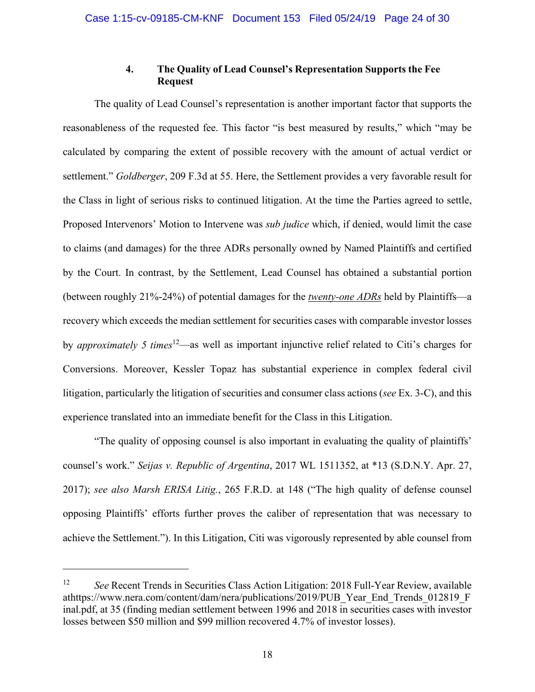# **4. The Quality of Lead Counsel's Representation Supports the Fee Request**

The quality of Lead Counsel's representation is another important factor that supports the reasonableness of the requested fee. This factor "is best measured by results," which "may be calculated by comparing the extent of possible recovery with the amount of actual verdict or settlement." *Goldberger*, 209 F.3d at 55. Here, the Settlement provides a very favorable result for the Class in light of serious risks to continued litigation. At the time the Parties agreed to settle, Proposed Intervenors' Motion to Intervene was *sub judice* which, if denied, would limit the case to claims (and damages) for the three ADRs personally owned by Named Plaintiffs and certified by the Court. In contrast, by the Settlement, Lead Counsel has obtained a substantial portion (between roughly 21%-24%) of potential damages for the *twenty-one ADRs* held by Plaintiffs—a recovery which exceeds the median settlement for securities cases with comparable investor losses by *approximately 5 times*12—as well as important injunctive relief related to Citi's charges for Conversions. Moreover, Kessler Topaz has substantial experience in complex federal civil litigation, particularly the litigation of securities and consumer class actions (*see* Ex. 3-C), and this experience translated into an immediate benefit for the Class in this Litigation.

"The quality of opposing counsel is also important in evaluating the quality of plaintiffs' counsel's work." *Seijas v. Republic of Argentina*, 2017 WL 1511352, at \*13 (S.D.N.Y. Apr. 27, 2017); *see also Marsh ERISA Litig.*, 265 F.R.D. at 148 ("The high quality of defense counsel opposing Plaintiffs' efforts further proves the caliber of representation that was necessary to achieve the Settlement."). In this Litigation, Citi was vigorously represented by able counsel from

<sup>12</sup> *See* Recent Trends in Securities Class Action Litigation: 2018 Full-Year Review, available athttps://www.nera.com/content/dam/nera/publications/2019/PUB\_Year\_End\_Trends\_012819\_F inal.pdf, at 35 (finding median settlement between 1996 and 2018 in securities cases with investor losses between \$50 million and \$99 million recovered 4.7% of investor losses).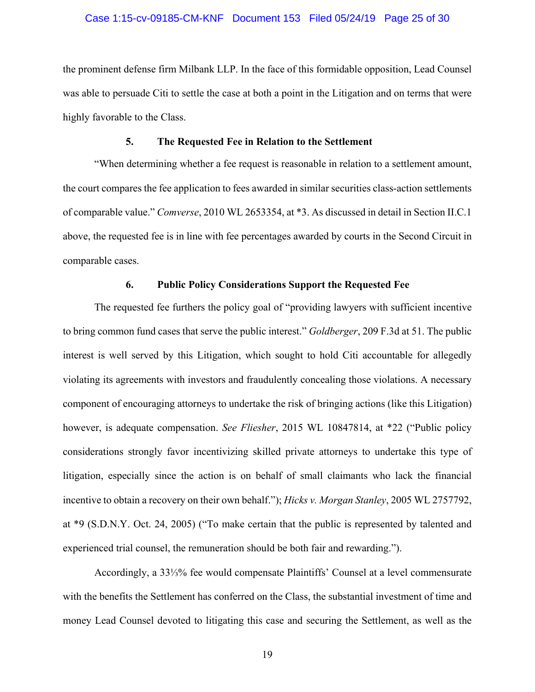### Case 1:15-cv-09185-CM-KNF Document 153 Filed 05/24/19 Page 25 of 30

the prominent defense firm Milbank LLP. In the face of this formidable opposition, Lead Counsel was able to persuade Citi to settle the case at both a point in the Litigation and on terms that were highly favorable to the Class.

### **5. The Requested Fee in Relation to the Settlement**

"When determining whether a fee request is reasonable in relation to a settlement amount, the court compares the fee application to fees awarded in similar securities class-action settlements of comparable value." *Comverse*, 2010 WL 2653354, at \*3. As discussed in detail in Section II.C.1 above, the requested fee is in line with fee percentages awarded by courts in the Second Circuit in comparable cases.

## **6. Public Policy Considerations Support the Requested Fee**

The requested fee furthers the policy goal of "providing lawyers with sufficient incentive to bring common fund cases that serve the public interest." *Goldberger*, 209 F.3d at 51. The public interest is well served by this Litigation, which sought to hold Citi accountable for allegedly violating its agreements with investors and fraudulently concealing those violations. A necessary component of encouraging attorneys to undertake the risk of bringing actions (like this Litigation) however, is adequate compensation. *See Fliesher*, 2015 WL 10847814, at \*22 ("Public policy considerations strongly favor incentivizing skilled private attorneys to undertake this type of litigation, especially since the action is on behalf of small claimants who lack the financial incentive to obtain a recovery on their own behalf."); *Hicks v. Morgan Stanley*, 2005 WL 2757792, at \*9 (S.D.N.Y. Oct. 24, 2005) ("To make certain that the public is represented by talented and experienced trial counsel, the remuneration should be both fair and rewarding.").

Accordingly, a 33⅓% fee would compensate Plaintiffs' Counsel at a level commensurate with the benefits the Settlement has conferred on the Class, the substantial investment of time and money Lead Counsel devoted to litigating this case and securing the Settlement, as well as the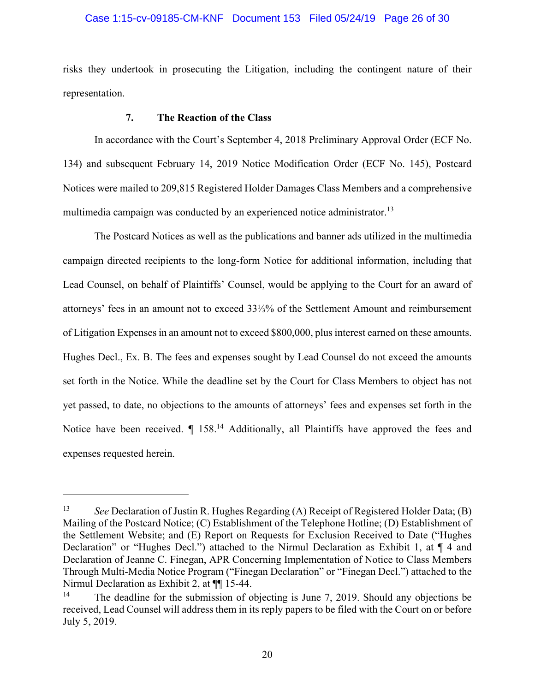### Case 1:15-cv-09185-CM-KNF Document 153 Filed 05/24/19 Page 26 of 30

risks they undertook in prosecuting the Litigation, including the contingent nature of their representation.

## **7. The Reaction of the Class**

1

In accordance with the Court's September 4, 2018 Preliminary Approval Order (ECF No. 134) and subsequent February 14, 2019 Notice Modification Order (ECF No. 145), Postcard Notices were mailed to 209,815 Registered Holder Damages Class Members and a comprehensive multimedia campaign was conducted by an experienced notice administrator.<sup>13</sup>

The Postcard Notices as well as the publications and banner ads utilized in the multimedia campaign directed recipients to the long-form Notice for additional information, including that Lead Counsel, on behalf of Plaintiffs' Counsel, would be applying to the Court for an award of attorneys' fees in an amount not to exceed 33⅓% of the Settlement Amount and reimbursement of Litigation Expenses in an amount not to exceed \$800,000, plus interest earned on these amounts. Hughes Decl., Ex. B. The fees and expenses sought by Lead Counsel do not exceed the amounts set forth in the Notice. While the deadline set by the Court for Class Members to object has not yet passed, to date, no objections to the amounts of attorneys' fees and expenses set forth in the Notice have been received.  $\P$  158.<sup>14</sup> Additionally, all Plaintiffs have approved the fees and expenses requested herein.

<sup>13</sup> *See* Declaration of Justin R. Hughes Regarding (A) Receipt of Registered Holder Data; (B) Mailing of the Postcard Notice; (C) Establishment of the Telephone Hotline; (D) Establishment of the Settlement Website; and (E) Report on Requests for Exclusion Received to Date ("Hughes Declaration" or "Hughes Decl.") attached to the Nirmul Declaration as Exhibit 1, at ¶ 4 and Declaration of Jeanne C. Finegan, APR Concerning Implementation of Notice to Class Members Through Multi-Media Notice Program ("Finegan Declaration" or "Finegan Decl.") attached to the Nirmul Declaration as Exhibit 2, at ¶¶ 15-44.

<sup>&</sup>lt;sup>14</sup> The deadline for the submission of objecting is June 7, 2019. Should any objections be received, Lead Counsel will address them in its reply papers to be filed with the Court on or before July 5, 2019.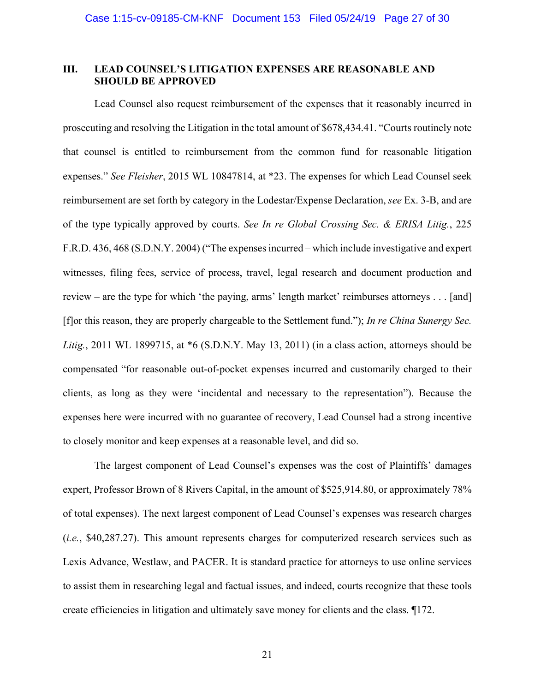## **III. LEAD COUNSEL'S LITIGATION EXPENSES ARE REASONABLE AND SHOULD BE APPROVED**

Lead Counsel also request reimbursement of the expenses that it reasonably incurred in prosecuting and resolving the Litigation in the total amount of \$678,434.41. "Courts routinely note that counsel is entitled to reimbursement from the common fund for reasonable litigation expenses." *See Fleisher*, 2015 WL 10847814, at \*23. The expenses for which Lead Counsel seek reimbursement are set forth by category in the Lodestar/Expense Declaration, *see* Ex. 3-B, and are of the type typically approved by courts. *See In re Global Crossing Sec. & ERISA Litig.*, 225 F.R.D. 436, 468 (S.D.N.Y. 2004) ("The expenses incurred – which include investigative and expert witnesses, filing fees, service of process, travel, legal research and document production and review – are the type for which 'the paying, arms' length market' reimburses attorneys . . . [and] [f]or this reason, they are properly chargeable to the Settlement fund."); *In re China Sunergy Sec. Litig.*, 2011 WL 1899715, at \*6 (S.D.N.Y. May 13, 2011) (in a class action, attorneys should be compensated "for reasonable out-of-pocket expenses incurred and customarily charged to their clients, as long as they were 'incidental and necessary to the representation"). Because the expenses here were incurred with no guarantee of recovery, Lead Counsel had a strong incentive to closely monitor and keep expenses at a reasonable level, and did so.

The largest component of Lead Counsel's expenses was the cost of Plaintiffs' damages expert, Professor Brown of 8 Rivers Capital, in the amount of \$525,914.80, or approximately 78% of total expenses). The next largest component of Lead Counsel's expenses was research charges (*i.e.*, \$40,287.27). This amount represents charges for computerized research services such as Lexis Advance, Westlaw, and PACER. It is standard practice for attorneys to use online services to assist them in researching legal and factual issues, and indeed, courts recognize that these tools create efficiencies in litigation and ultimately save money for clients and the class. ¶172.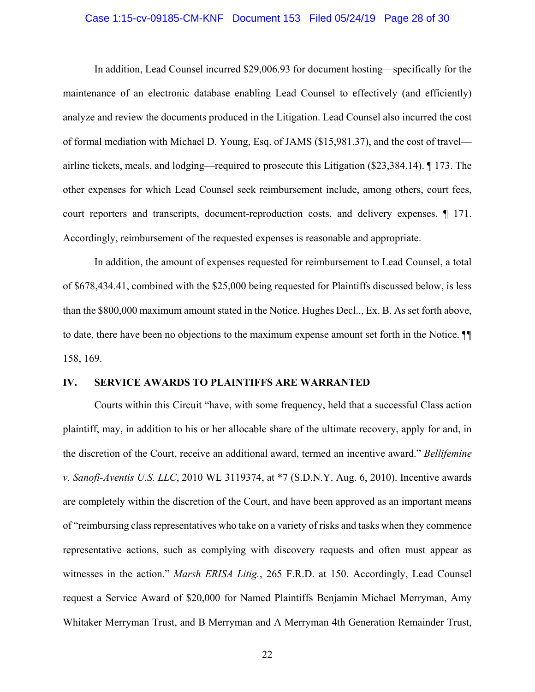### Case 1:15-cv-09185-CM-KNF Document 153 Filed 05/24/19 Page 28 of 30

In addition, Lead Counsel incurred \$29,006.93 for document hosting—specifically for the maintenance of an electronic database enabling Lead Counsel to effectively (and efficiently) analyze and review the documents produced in the Litigation. Lead Counsel also incurred the cost of formal mediation with Michael D. Young, Esq. of JAMS (\$15,981.37), and the cost of travel airline tickets, meals, and lodging—required to prosecute this Litigation (\$23,384.14). ¶ 173. The other expenses for which Lead Counsel seek reimbursement include, among others, court fees, court reporters and transcripts, document-reproduction costs, and delivery expenses. ¶ 171. Accordingly, reimbursement of the requested expenses is reasonable and appropriate.

In addition, the amount of expenses requested for reimbursement to Lead Counsel, a total of \$678,434.41, combined with the \$25,000 being requested for Plaintiffs discussed below, is less than the \$800,000 maximum amount stated in the Notice. Hughes Decl.., Ex. B. As set forth above, to date, there have been no objections to the maximum expense amount set forth in the Notice. ¶¶ 158, 169.

### **IV. SERVICE AWARDS TO PLAINTIFFS ARE WARRANTED**

Courts within this Circuit "have, with some frequency, held that a successful Class action plaintiff, may, in addition to his or her allocable share of the ultimate recovery, apply for and, in the discretion of the Court, receive an additional award, termed an incentive award." *Bellifemine v. Sanofi-Aventis U.S. LLC*, 2010 WL 3119374, at \*7 (S.D.N.Y. Aug. 6, 2010). Incentive awards are completely within the discretion of the Court, and have been approved as an important means of "reimbursing class representatives who take on a variety of risks and tasks when they commence representative actions, such as complying with discovery requests and often must appear as witnesses in the action." *Marsh ERISA Litig.*, 265 F.R.D. at 150. Accordingly, Lead Counsel request a Service Award of \$20,000 for Named Plaintiffs Benjamin Michael Merryman, Amy Whitaker Merryman Trust, and B Merryman and A Merryman 4th Generation Remainder Trust,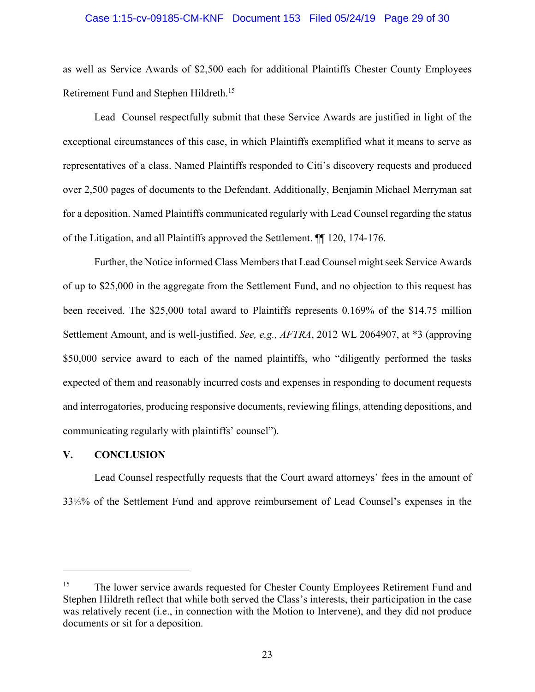### Case 1:15-cv-09185-CM-KNF Document 153 Filed 05/24/19 Page 29 of 30

as well as Service Awards of \$2,500 each for additional Plaintiffs Chester County Employees Retirement Fund and Stephen Hildreth.15

Lead Counsel respectfully submit that these Service Awards are justified in light of the exceptional circumstances of this case, in which Plaintiffs exemplified what it means to serve as representatives of a class. Named Plaintiffs responded to Citi's discovery requests and produced over 2,500 pages of documents to the Defendant. Additionally, Benjamin Michael Merryman sat for a deposition. Named Plaintiffs communicated regularly with Lead Counsel regarding the status of the Litigation, and all Plaintiffs approved the Settlement. ¶¶ 120, 174-176.

Further, the Notice informed Class Members that Lead Counsel might seek Service Awards of up to \$25,000 in the aggregate from the Settlement Fund, and no objection to this request has been received. The \$25,000 total award to Plaintiffs represents 0.169% of the \$14.75 million Settlement Amount, and is well-justified. *See, e.g., AFTRA*, 2012 WL 2064907, at \*3 (approving \$50,000 service award to each of the named plaintiffs, who "diligently performed the tasks expected of them and reasonably incurred costs and expenses in responding to document requests and interrogatories, producing responsive documents, reviewing filings, attending depositions, and communicating regularly with plaintiffs' counsel").

#### **V. CONCLUSION**

 $\overline{a}$ 

Lead Counsel respectfully requests that the Court award attorneys' fees in the amount of 33⅓% of the Settlement Fund and approve reimbursement of Lead Counsel's expenses in the

<sup>&</sup>lt;sup>15</sup> The lower service awards requested for Chester County Employees Retirement Fund and Stephen Hildreth reflect that while both served the Class's interests, their participation in the case was relatively recent (i.e., in connection with the Motion to Intervene), and they did not produce documents or sit for a deposition.